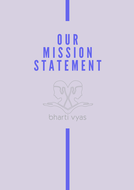#### O U R **MISSÏON** S T A TEMENT

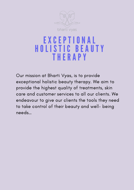

#### E X C E P T I ONA L H O L I S T I C B E A U T Y **THERAPY**

Our mission at Bharti Vyas, is to provide exceptional holistic beauty therapy. We aim to provide the highest quality of treatments, skin care and customer services to all our clients. We endeavour to give our clients the tools they need to take control of their beauty and well- being needs…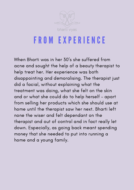

# F R O M E X P E R I ENC E

When Bharti was in her 30' s she suffered from acne and sought the help of a beauty therapist to help treat her. Her experience was both disappointing and demoralising. The therapist just did a facial, without explaining what the treatment was doing, what she felt on the skin and or what she could do to help herself – apart from selling her products which she should use at home until the therapist saw her next. Bharti left none the wiser and felt dependant on the therapist and out of control and in fact really let down. Especially, as going back meant spending money that she needed to put into running a home and a young family.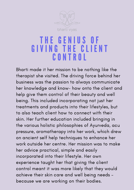

## TH E G ENI U S O F G I V ING T H E C L I ENT C ONT R O L

Bharti made it her mission to be nothing like the therapist she visited. The driving force behind her business was the passion to always communicate her knowledge and know- how onto the client and help give them control of their beauty and well being. This included incorporating not just her treatments and products into their lifestyles, but to also teach client how to connect with their skin. Her further education included bringing in the various holistic philosophies of Ayurveda, acu pressure, aromatherapy into her work, which drew on ancient self help techniques to enhance her work outside her centre. Her mission was to make her advice practical, simple and easily incorporated into their lifestyle. Her own experience taught her that giving the client control meant it was more likely that they would achieve their skin care and well being needs – because we are working on their bodies.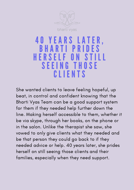

#### **40 YEARS LA** B H A R T I P R I D E S HERSELF ON STILL S E E ING THO S E C L I ENT S

She wanted clients to leave feeling hopeful, up beat, in control and confident knowing that the Bharti Vyas Team can be a good support system for them if they needed help further down the line. Making herself accessible to them, whether it be via skype, through her books, on the phone or in the salon. Unlike the therapist she saw, she vowed to only give clients what they needed and be that person they could go back to if they needed advice or help. 40 years later, she prides herself on still seeing those clients and their families, especially when they need support.